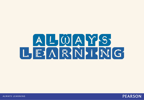



ALWAYS LEARNING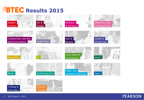



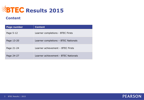

#### **Content**

| <b>Page number</b> | <b>Content</b>                       |
|--------------------|--------------------------------------|
| Page 5-12          | Learner completions - BTEC Firsts    |
| Page 13-20         | Learner completions - BTEC Nationals |
| Page 21-24         | Learner achievement - BTEC Firsts    |
| Page 24-27         | Learner achievement - BTEC Nationals |

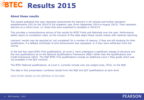# **EBTEC Results 2015**

#### **About these results**

The results published this year represent achievement for learners in UK schools and further education establishments (FE) for the 2014/15 full academic year (from September 2014 to August 2015). They represent learners at a cohort level, i.e. those that were expected to complete in 2014/15.

This provides a comprehensive picture of the results for BTEC Firsts and Nationals over the year. Performance tables report on completion rates, so the inclusion of this data aligns these results closely with national reporting.

Learners' results may be reported as 'not completed' for a number of reasons: if they are still studying for their qualification, if a fallback Certificate of Unit Achievement was requested, or if they have withdrawn from the course.

In the last few years BTEC First qualifications, at Level 2, have undergone a significant change of structure and the new qualifications sit on the National Qualifications Framework (NQF) rather than the Qualifications and Credit Framework (QCF). The NQF BTEC First qualifications include an additional Level 1 Pass grade which was not available in the QCF versions.

The BTEC National qualifications, at Level 3, currently include only one subject area, CPLD, on the NQF.

The data in this presentation combines results from the NQF and QCF qualifications at each level.

[View further details on the definition of the data.](https://qualifications.pearson.com/content/dam/pdf/News/btec-general-news/BTEC-2015-data-definitions.pdf)

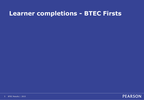### **Learner completions - BTEC Firsts**

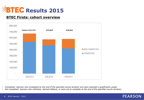

#### **BTEC Firsts: cohort overview**



• *Completed: learners who completed by the end of the specified course duration and were awarded a qualification grade.*

• *Not completed: learners who withdrew, claimed fallback, or were yet to complete at the end of the specified course duration.*

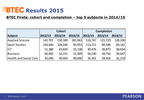

### **BTEC Firsts: cohort and completion – top 5 subjects in 2014/15**

|                               | <b>Cohort</b><br><b>Completion</b> |         |         |         |         |         |  |  |
|-------------------------------|------------------------------------|---------|---------|---------|---------|---------|--|--|
| Subject                       | 2012/13                            | 2013/14 | 2014/15 | 2012/13 | 2013/14 | 2014/15 |  |  |
| <b>Applied Science</b>        | 142,701                            | 150,189 | 181,063 | 110,747 | 121,729 | 128,100 |  |  |
| <b>Sport Studies</b>          | 144,640                            | 104,246 | 95,053  | 113,151 | 89,596  | 69,141  |  |  |
| <b>IICT</b>                   | 51,389                             | 43,829  | 55,138  | 40,476  | 36,873  | 38,634  |  |  |
| Business                      | 60,992                             | 52,151  | 51,009  | 50,230  | 44,750  | 39,647  |  |  |
| <b>Health and Social Care</b> | 43,046                             | 40,664  | 40,696  | 35,362  | 34,556  | 32,219  |  |  |

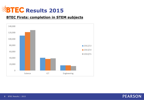

#### **BTEC Firsts: completion in STEM subjects**



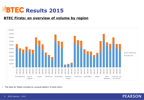

#### **BTEC Firsts: an overview of volume by region**



• *The data for Wales includes an unusual pattern of early entry.*

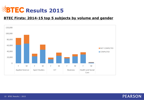

#### **BTEC Firsts: 2014-15 top 5 subjects by volume and gender**



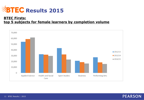

#### **BTEC Firsts: top 5 subjects for female learners by completion volume**



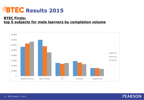

#### **BTEC Firsts: top 5 subjects for male learners by completion volume**



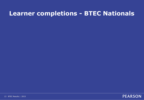# **Learner completions - BTEC Nationals**

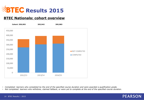

#### **BTEC Nationals: cohort overview**



• *Completed: learners who completed by the end of the specified course duration and were awarded a qualification grade.*

• *Not completed: learners who withdrew, claimed fallback, or were yet to complete at the end of the specified course duration.*

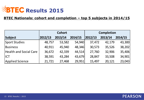

### **BTEC Nationals: cohort and completion – top 5 subjects in 2014/15**

|                        |         | <b>Completion</b><br><b>Cohort</b> |         |         |         |         |  |  |  |
|------------------------|---------|------------------------------------|---------|---------|---------|---------|--|--|--|
| Subject                | 2012/13 | 2013/14                            | 2014/15 | 2012/13 | 2013/14 | 2014/15 |  |  |  |
| <b>Sport Studies</b>   | 48,757  | 53,582                             | 54,940  | 37,472  | 42,179  | 43,300  |  |  |  |
| Business               | 40,911  | 45,940                             | 48,346  | 30,573  | 35,526  | 38,202  |  |  |  |
| Health and Social Care | 36,672  | 42,339                             | 44,514  | 27,760  | 32,906  | 35,406  |  |  |  |
| <b>IICT</b>            | 38,591  | 43,284                             | 43,679  | 28,847  | 33,508  | 34,901  |  |  |  |
| <b>Applied Science</b> | 21,721  | 27,468                             | 29,951  | 15,497  | 20,121  | 23,043  |  |  |  |

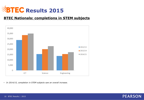

#### **BTEC Nationals: completions in STEM subjects**



• *In 2014/15, completion in STEM subjects saw an overall increase.* 

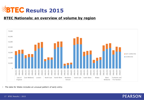

#### **BTEC Nationals: an overview of volume by region**



• *The data for Wales includes an unusual pattern of early entry.*

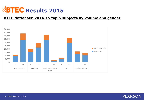

#### **BTEC Nationals: 2014-15 top 5 subjects by volume and gender**



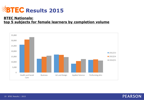

#### **BTEC Nationals: top 5 subjects for female learners by completion volume**



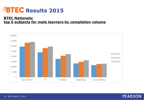

#### **BTEC Nationals: top 5 subjects for male learners by completion volume**



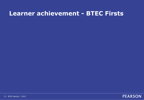### **Learner achievement - BTEC Firsts**

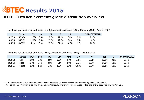

#### **BTEC Firsts achievement: grade distribution overview**

For these qualifications: Certificate (QCF), Extended Certificate (QCF), Diploma (QCF), Award (NQF)

|         | <b>Cohort</b> | אּח   |      | M     |       | $\mathsf{LIP}$ |         | <b>NOT COMPLETED</b> |
|---------|---------------|-------|------|-------|-------|----------------|---------|----------------------|
| 2012/13 | 671.650       | 13.5% | 5.4% | 18.9% | 41.1% | $0.0\%$        | 0.1%    | 21.0%                |
| 2013/14 | 567,159       | 13.1% | 5.6% | 19.3% | 42.7% | 2.0%           | $0.4\%$ | 16.9%                |
| 2014/15 | 537,522       | 4.9%  | 3.9% | 15.0% | 37.2% | 10.8%          | 1.6%    | 26.6%                |

For these qualifications: Certificate (NQF), Extended Certificate (NQF), Diploma (NQF)

|         | Cohort | $D^*D^*$ | $D^*D$ | DD   | <b>DM</b> | <b>MM</b> | <b>MP</b> | <b>PP</b> | L1P   |         | <b>NOT COMPLETED</b> |
|---------|--------|----------|--------|------|-----------|-----------|-----------|-----------|-------|---------|----------------------|
| 2012/13 | 124    | $0.0\%$  | 0.0%   | 0.0% | 3.2%      | 2.4%      | 2.4%      | 23.4%     | 12.1% | $0.0\%$ | 56.5%                |
| 2013/14 | 5,668  | $0.7\%$  | 0.4%   | 0.6% | 4.1%      | 4.6%      | 7.6%      | 13.7%     | 14.8% | ۵%.     | 52.5%                |
| 2014/15 | 42,169 | 1.3%     | 1.2%   | 7%.  | 5.5%      | 8.5%      | 10.7%     | 19.7%     | 15.3% | 1.0%    | 35.1%                |

• *L1P: these are only available on Level 2 NQF qualifications. These passes are deemed equivalent to Level 1.* 

• *Not completed: learners who withdrew, claimed fallback, or were yet to complete at the end of the specified course duration.*

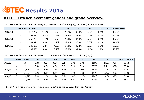

#### **BTEC Firsts achievement: gender and grade overview**

|         | Gender | <b>Cohort</b> | $D^*$ | D    | M     | P     | L1P   | U    | <b>NOT COMPLETED</b> |
|---------|--------|---------------|-------|------|-------|-------|-------|------|----------------------|
| 2012/13 |        | 312,267       | 17.7% | 6.2% | 20.2% | 36.0% | 0.0%  | 0.1% | 19.8%                |
|         | M      | 359,382       | 10.0% | 4.6% | 17.8% | 45.5% | 0.0%  | 0.1% | 22.0%                |
| 2013/14 |        | 257,759       | 17.4% | 6.5% | 20.4% | 37.9% | 2.0%  | 0.4% | 15.5%                |
|         | M      | 309,396       | 9.4%  | 4.9% | 18.4% | 46.8% | 2.0%  | 0.5% | 18.1%                |
| 2014/15 |        | 242,982       | 6.8%  | 4.9% | 17.1% | 35.3% | 9.8%  | 1.2% | 25.0%                |
|         | M      | 294,536       | 3.3%  | 3.2% | 13.3% | 38.8% | 11.7% | 1.9% | 27.9%                |

For these qualifications: Certificate (QCF), Extended Certificate (QCF), Diploma (QCF), Award (NQF)

For these qualifications: Certificate (NQF), Extended Certificate (NQF), Diploma (NQF)

|         | Gender |        | <b>Cohort</b> | $\mathsf{D}^*$                                                                                   | D         | M         |           | P         | L1P       | U    |       | <b>NOT COMPLETED</b> |                      |  |
|---------|--------|--------|---------------|--------------------------------------------------------------------------------------------------|-----------|-----------|-----------|-----------|-----------|------|-------|----------------------|----------------------|--|
| 2012/13 | F.     |        | 312,267       | 17.7%                                                                                            | 6.2%      | 20.2%     |           | 36.0%     | 0.0%      | 0.1% |       | 19.8%                |                      |  |
|         | M      |        | 359,382       | 10.0%                                                                                            | 4.6%      | 17.8%     |           | 45.5%     | 0.0%      | 0.1% |       | 22.0%                |                      |  |
| 2013/14 | F      |        | 257,759       | 17.4%                                                                                            | 6.5%      | 20.4%     |           | 37.9%     | 2.0%      | 0.4% |       | 15.5%                |                      |  |
|         | M      |        | 309,396       | 9.4%                                                                                             | 4.9%      | 18.4%     |           | 46.8%     | 2.0%      | 0.5% |       | 18.1%                |                      |  |
| 2014/15 | F      |        | 242,982       | 6.8%                                                                                             | 4.9%      | 17.1%     |           | 35.3%     | 9.8%      | 1.2% |       | 25.0%                |                      |  |
|         | M      |        | 294,536       | 3.3%                                                                                             | 3.2%      | 13.3%     |           | 38.8%     | 11.7%     | 1.9% |       | 27.9%                |                      |  |
|         |        |        |               |                                                                                                  |           |           |           |           |           |      |       |                      |                      |  |
|         |        |        |               |                                                                                                  |           |           |           |           |           |      |       |                      |                      |  |
|         | Gender | Cohort | $D^*D^*$      | For these qualifications: Certificate (NQF), Extended Certificate (NQF), Diploma (NQF)<br>$D^*D$ | <b>DD</b> | <b>DM</b> | <b>MM</b> | <b>MP</b> | <b>PP</b> |      | L1P   | $\mathsf{U}$         | <b>NOT COMPLETED</b> |  |
| 2012/13 | F.     | 29     | 0.0%          | 0.0%                                                                                             | 0.0%      | 3.4%      | 0.0%      | 0.0%      | 13.8%     |      | 24.1% | 0.0%                 | 58.6%                |  |
|         | M      | 95     | $0.0\%$       | 0.0%                                                                                             | $0.0\%$   | 3.2%      | 3.2%      | 3.2%      | 26.3%     |      | 8.4%  | $0.0\%$              | 55.8%                |  |
| 2013/14 | F.     | 2,303  | 1.4%          | 0.7%                                                                                             | 1.2%      | 6.3%      | 7.1%      | 10.3%     | 15.3%     |      | 13.7% | 1.1%                 | 42.9%                |  |
|         | M      | 3,365  | 0.2%          | 0.1%                                                                                             | 0.2%      | 2.6%      | 2.9%      | 5.8%      | 12.7%     |      | 15.5% | 0.9%                 | 59.0%                |  |
| 2014/15 | F.     | 18,915 | 2.4%          | 1.9%                                                                                             | 2.4%      | 7.5%      | 10.4%     | 11.6%     | 18.8%     |      | 13.1% | 0.8%                 | 31.0%                |  |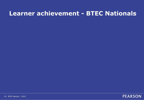## **Learner achievement - BTEC Nationals**

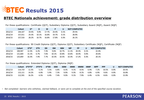

#### **BTEC Nationals achievement: grade distribution overview**

For these qualifications: Certificate (QCF), Subsidiary Diploma (QCF), Subsidiary Award (NQF), Award (NQF)

|         | <b>Cohort</b> | n*    | D       | м     |       | u       | <b>NOT COMPLETED</b> |
|---------|---------------|-------|---------|-------|-------|---------|----------------------|
| 2012/13 | 144.327       | 19.4% | $9.0\%$ | 17.7% | 24.4% | $0.1\%$ | 29.5%                |
| 2013/14 | 157.011       | 24.3% | 10.1%   | 16.8% | 19.7% | $0.1\%$ | 28.9%                |
| 2014/15 | 157,533       | 28.2% | 10.7%   | 16.8% | 17.8% | 0.3%    | 26.1%                |

For these qualifications: 90 Credit Diploma (QCF), Diploma (QCF), Subsidiary Certificate (NQF), Certificate (NQF)

|         | Cohort  | $D^*D^*$ | $D^*D$ | <b>DD</b> | <b>DM</b> | <b>MM</b> | МP    | <b>PP</b> |         | <b>NOT COMPLETED</b> |
|---------|---------|----------|--------|-----------|-----------|-----------|-------|-----------|---------|----------------------|
| 2012/13 | 100,947 | 12.3%    | 6.2%   | 7.3%      | 9.6%      | 10.7%     | 11.1% | 20.3%     | 0.1%    | 22.4%                |
| 2013/14 | 121.820 | 15.1%    | 6.7%   | 7.6%      | 10.1%     | 10.8%     | 10.6% | 18.4%     | $0.0\%$ | 20.6%                |
| 2014/15 | 125,859 | 16.3%    | 7.4%   | 7.7%      | 10.3%     | 10.5%     | 10.3% | 17.2%     | 0.3%    | 20.1%                |

#### For these qualifications: Extended Diploma (QCF), Diploma (NQF)

|         | Cohort  | $D^*D^*D^*$ | $D^*D^*D$ | $D^*DD$ | <b>DDD</b> | <b>DDM</b> | <b>DMM</b> | <b>MMM</b> | <b>MMP</b> | <b>MPP</b> | <b>PPP</b> |         | <b>NOT COMPLETED</b> |
|---------|---------|-------------|-----------|---------|------------|------------|------------|------------|------------|------------|------------|---------|----------------------|
| 2012/13 | 114,719 | 11.5%       | 5.1%      | 5.5%    | 6.8%       | 8.3%       | 9.1%       | 8.5%       | 6.9%       | 7.2%       | 10.5%      | $0.0\%$ | 20.5%                |
| 2013/14 | 115.111 | 14.2%       | 6.0%      | 5.9%    | 7.3%       | 9.0%       | 9.3%       | 8.1%       | 6.8%       | 6.9%       | 9.6%       | $0.0\%$ | 16.8%                |
| 2014/15 | 112,591 | 16.2%       | 6.5%      | 6.4%    | '.4%       | 9.0%       | 9.1%       | 7.9%       | 6.4%       | 6.5%       | 8.6%       | 0.0%    | 15.9%                |

**PEARSON** 

• *Not completed: learners who withdrew, claimed fallback, or were yet to complete at the end of the specified course duration.*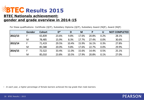

#### **BTEC Nationals achievement: gender and grade overview in 2014-15**

**Gender Cohort D\* D M P U NOT COMPLETED 2012/13** F 65,839 23.6% 9.8% 17.6% 20.8% 0.2% 28.1% M 78,485 15.9% 8.3% 17.7% 27.4% 0.0% 30.6% **2013/14** F 71,419 29.5% 10.4% 15.9% 16.1% 0.3% 27.8% M 85,588 20.0% 9.8% 17.6% 22.7% 0.0% 29.9% **2014/15** F 72,522 33.4% 11.0% 15.6% 14.4% 0.5% 25.1% M 85,010 23.8% 10.5% 17.9% 20.8% 0.1% 27.0%

For these qualifications: Certificate (QCF), Subsidiary Diploma (QCF), Subsidiary Award (NQF), Award (NQF)

• *In each year, a higher percentage of female learners achieved the top grade than male learners.*